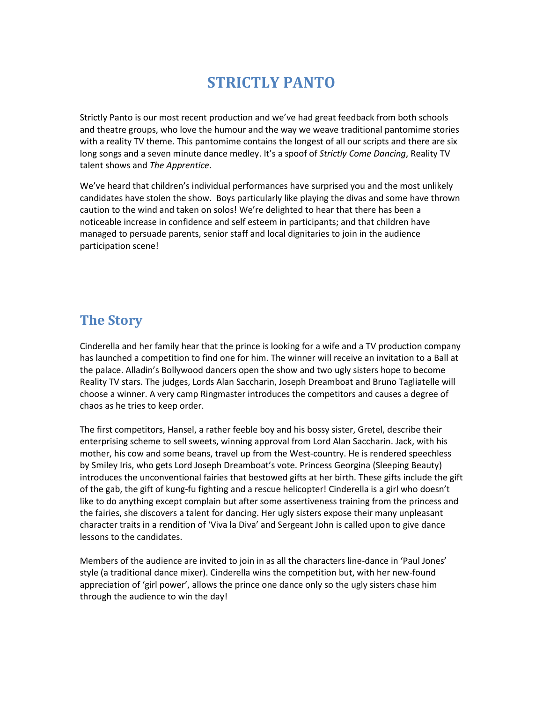# **STRICTLY PANTO**

Strictly Panto is our most recent production and we've had great feedback from both schools and theatre groups, who love the humour and the way we weave traditional pantomime stories with a reality TV theme. This pantomime contains the longest of all our scripts and there are six long songs and a seven minute dance medley. It's a spoof of *Strictly Come Dancing*, Reality TV talent shows and *The Apprentice*.

We've heard that children's individual performances have surprised you and the most unlikely candidates have stolen the show. Boys particularly like playing the divas and some have thrown caution to the wind and taken on solos! We're delighted to hear that there has been a noticeable increase in confidence and self esteem in participants; and that children have managed to persuade parents, senior staff and local dignitaries to join in the audience participation scene!

# **The Story**

Cinderella and her family hear that the prince is looking for a wife and a TV production company has launched a competition to find one for him. The winner will receive an invitation to a Ball at the palace. Alladin's Bollywood dancers open the show and two ugly sisters hope to become Reality TV stars. The judges, Lords Alan Saccharin, Joseph Dreamboat and Bruno Tagliatelle will choose a winner. A very camp Ringmaster introduces the competitors and causes a degree of chaos as he tries to keep order.

The first competitors, Hansel, a rather feeble boy and his bossy sister, Gretel, describe their enterprising scheme to sell sweets, winning approval from Lord Alan Saccharin. Jack, with his mother, his cow and some beans, travel up from the West-country. He is rendered speechless by Smiley Iris, who gets Lord Joseph Dreamboat's vote. Princess Georgina (Sleeping Beauty) introduces the unconventional fairies that bestowed gifts at her birth. These gifts include the gift of the gab, the gift of kung-fu fighting and a rescue helicopter! Cinderella is a girl who doesn't like to do anything except complain but after some assertiveness training from the princess and the fairies, she discovers a talent for dancing. Her ugly sisters expose their many unpleasant character traits in a rendition of 'Viva la Diva' and Sergeant John is called upon to give dance lessons to the candidates.

Members of the audience are invited to join in as all the characters line-dance in 'Paul Jones' style (a traditional dance mixer). Cinderella wins the competition but, with her new-found appreciation of 'girl power', allows the prince one dance only so the ugly sisters chase him through the audience to win the day!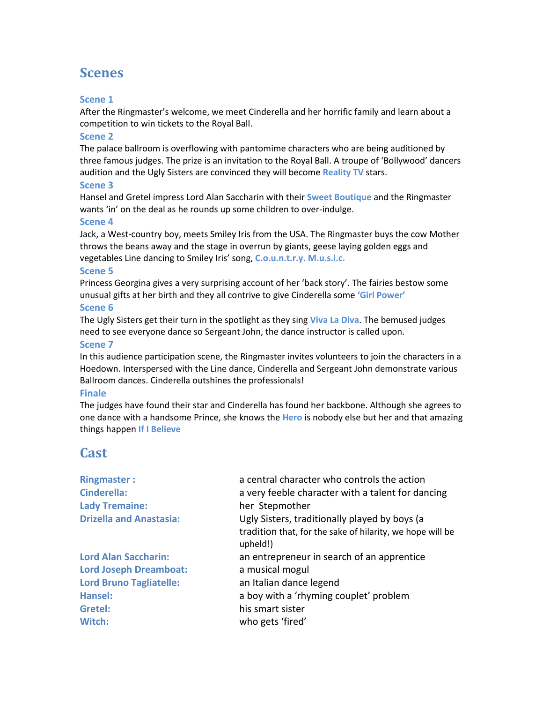# **Scenes**

### **Scene 1**

After the Ringmaster's welcome, we meet Cinderella and her horrific family and learn about a competition to win tickets to the Royal Ball.

### **Scene 2**

The palace ballroom is overflowing with pantomime characters who are being auditioned by three famous judges. The prize is an invitation to the Royal Ball. A troupe of 'Bollywood' dancers audition and the Ugly Sisters are convinced they will become **Reality TV** stars.

### **Scene 3**

Hansel and Gretel impress Lord Alan Saccharin with their **Sweet Boutique** and the Ringmaster wants 'in' on the deal as he rounds up some children to over-indulge.

### **Scene 4**

Jack, a West-country boy, meets Smiley Iris from the USA. The Ringmaster buys the cow Mother throws the beans away and the stage in overrun by giants, geese laying golden eggs and vegetables Line dancing to Smiley Iris' song, **C.o.u.n.t.r.y. M.u.s.i.c.**

### **Scene 5**

Princess Georgina gives a very surprising account of her 'back story'. The fairies bestow some unusual gifts at her birth and they all contrive to give Cinderella some **'Girl Power' Scene 6**

The Ugly Sisters get their turn in the spotlight as they sing **Viva La Diva**. The bemused judges need to see everyone dance so Sergeant John, the dance instructor is called upon.

### **Scene 7**

In this audience participation scene, the Ringmaster invites volunteers to join the characters in a Hoedown. Interspersed with the Line dance, Cinderella and Sergeant John demonstrate various Ballroom dances. Cinderella outshines the professionals!

### **Finale**

The judges have found their star and Cinderella has found her backbone. Although she agrees to one dance with a handsome Prince, she knows the **Hero** is nobody else but her and that amazing things happen **If I Believe**

# **Cast**

| <b>Ringmaster:</b>             | a central character who controls the action                           |
|--------------------------------|-----------------------------------------------------------------------|
| <b>Cinderella:</b>             | a very feeble character with a talent for dancing                     |
| <b>Lady Tremaine:</b>          | her Stepmother                                                        |
| <b>Drizella and Anastasia:</b> | Ugly Sisters, traditionally played by boys (a                         |
|                                | tradition that, for the sake of hilarity, we hope will be<br>upheld!) |
| <b>Lord Alan Saccharin:</b>    | an entrepreneur in search of an apprentice                            |
| <b>Lord Joseph Dreamboat:</b>  | a musical mogul                                                       |
| <b>Lord Bruno Tagliatelle:</b> | an Italian dance legend                                               |
| <b>Hansel:</b>                 | a boy with a 'rhyming couplet' problem                                |
| Gretel:                        | his smart sister                                                      |
| Witch:                         | who gets 'fired'                                                      |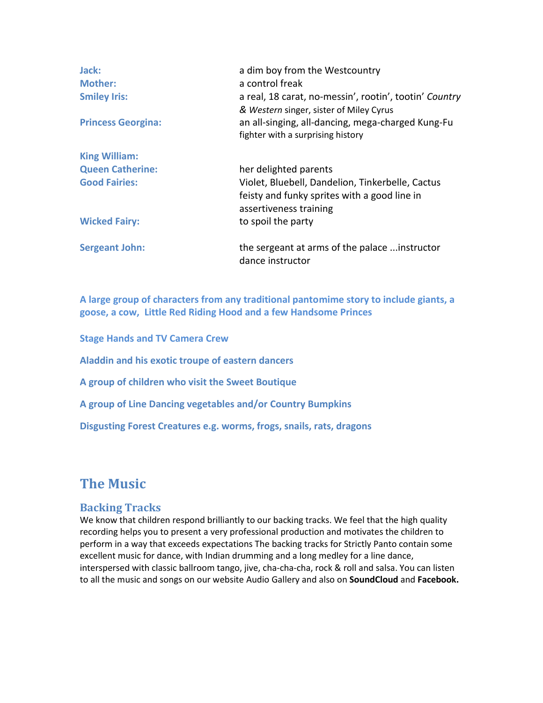| Jack:<br><b>Mother:</b><br><b>Smiley Iris:</b><br><b>Princess Georgina:</b> | a dim boy from the Westcountry<br>a control freak<br>a real, 18 carat, no-messin', rootin', tootin' Country<br>& Western singer, sister of Miley Cyrus<br>an all-singing, all-dancing, mega-charged Kung-Fu<br>fighter with a surprising history |
|-----------------------------------------------------------------------------|--------------------------------------------------------------------------------------------------------------------------------------------------------------------------------------------------------------------------------------------------|
| <b>King William:</b>                                                        |                                                                                                                                                                                                                                                  |
| <b>Queen Catherine:</b>                                                     | her delighted parents                                                                                                                                                                                                                            |
| <b>Good Fairies:</b>                                                        | Violet, Bluebell, Dandelion, Tinkerbelle, Cactus                                                                                                                                                                                                 |
|                                                                             | feisty and funky sprites with a good line in<br>assertiveness training                                                                                                                                                                           |
| <b>Wicked Fairy:</b>                                                        | to spoil the party                                                                                                                                                                                                                               |
| <b>Sergeant John:</b>                                                       | the sergeant at arms of the palace  instructor<br>dance instructor                                                                                                                                                                               |

**A large group of characters from any traditional pantomime story to include giants, a goose, a cow, Little Red Riding Hood and a few Handsome Princes**

**Stage Hands and TV Camera Crew Aladdin and his exotic troupe of eastern dancers A group of children who visit the Sweet Boutique A group of Line Dancing vegetables and/or Country Bumpkins Disgusting Forest Creatures e.g. worms, frogs, snails, rats, dragons** 

# **The Music**

## **Backing Tracks**

We know that children respond brilliantly to our backing tracks. We feel that the high quality recording helps you to present a very professional production and motivates the children to perform in a way that exceeds expectations The backing tracks for Strictly Panto contain some excellent music for dance, with Indian drumming and a long medley for a line dance, interspersed with classic ballroom tango, jive, cha-cha-cha, rock & roll and salsa. You can listen to all the music and songs on our website Audio Gallery and also on **SoundCloud** and **Facebook.**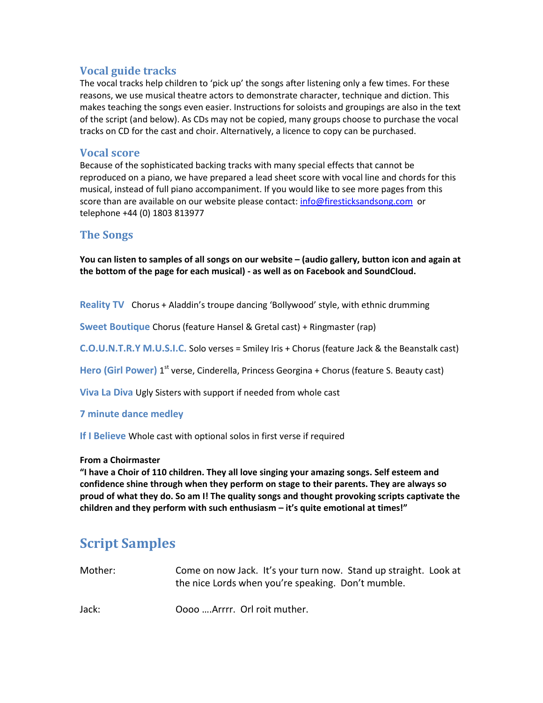## **Vocal guide tracks**

The vocal tracks help children to 'pick up' the songs after listening only a few times. For these reasons, we use musical theatre actors to demonstrate character, technique and diction. This makes teaching the songs even easier. Instructions for soloists and groupings are also in the text of the script (and below). As CDs may not be copied, many groups choose to purchase the vocal tracks on CD for the cast and choir. Alternatively, a licence to copy can be purchased.

## **Vocal score**

Because of the sophisticated backing tracks with many special effects that cannot be reproduced on a piano, we have prepared a lead sheet score with vocal line and chords for this musical, instead of full piano accompaniment. If you would like to see more pages from this score than are available on our website please contact[: info@firesticksandsong.com](mailto:info@firesticksandsong.com) or telephone +44 (0) 1803 813977

## **The Songs**

**You can listen to samples of all songs on our website – (audio gallery, button icon and again at the bottom of the page for each musical) - as well as on Facebook and SoundCloud.**

**Reality TV** Chorus + Aladdin's troupe dancing 'Bollywood' style, with ethnic drumming

**Sweet Boutique** Chorus (feature Hansel & Gretal cast) + Ringmaster (rap)

**C.O.U.N.T.R.Y M.U.S.I.C.** Solo verses = Smiley Iris + Chorus (feature Jack & the Beanstalk cast)

Hero (Girl Power) 1<sup>st</sup> verse, Cinderella, Princess Georgina + Chorus (feature S. Beauty cast)

**Viva La Diva** Ugly Sisters with support if needed from whole cast

### **7 minute dance medley**

**If I Believe** Whole cast with optional solos in first verse if required

### **From a Choirmaster**

**"I have a Choir of 110 children. They all love singing your amazing songs. Self esteem and confidence shine through when they perform on stage to their parents. They are always so proud of what they do. So am I! The quality songs and thought provoking scripts captivate the children and they perform with such enthusiasm – it's quite emotional at times!"** 

# **Script Samples**

| Mother: | Come on now Jack. It's your turn now. Stand up straight. Look at |  |  |
|---------|------------------------------------------------------------------|--|--|
|         | the nice Lords when you're speaking. Don't mumble.               |  |  |

Jack: Oooo ….Arrrr. Orl roit muther.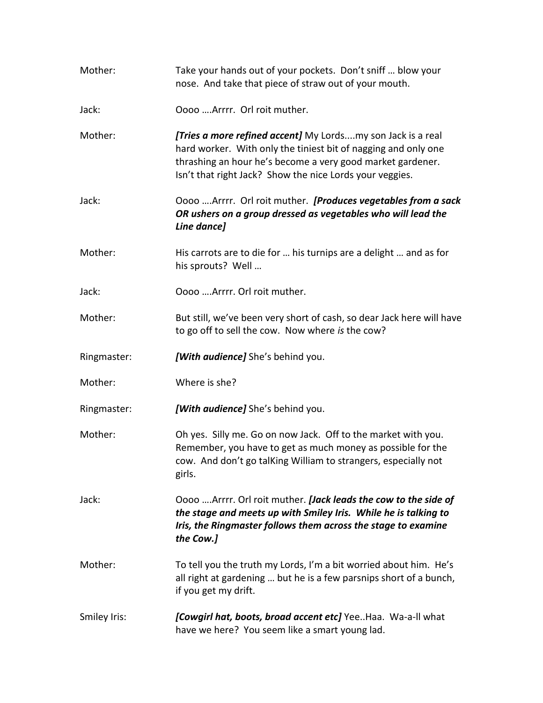| Mother:      | Take your hands out of your pockets. Don't sniff  blow your<br>nose. And take that piece of straw out of your mouth.                                                                                                                                    |
|--------------|---------------------------------------------------------------------------------------------------------------------------------------------------------------------------------------------------------------------------------------------------------|
| Jack:        | Oooo  Arrrr. Orl roit muther.                                                                                                                                                                                                                           |
| Mother:      | [Tries a more refined accent] My Lordsmy son Jack is a real<br>hard worker. With only the tiniest bit of nagging and only one<br>thrashing an hour he's become a very good market gardener.<br>Isn't that right Jack? Show the nice Lords your veggies. |
| Jack:        | Oooo  Arrrr. Orl roit muther. [Produces vegetables from a sack<br>OR ushers on a group dressed as vegetables who will lead the<br>Line dance]                                                                                                           |
| Mother:      | His carrots are to die for  his turnips are a delight  and as for<br>his sprouts? Well                                                                                                                                                                  |
| Jack:        | Oooo  Arrrr. Orl roit muther.                                                                                                                                                                                                                           |
| Mother:      | But still, we've been very short of cash, so dear Jack here will have<br>to go off to sell the cow. Now where is the cow?                                                                                                                               |
| Ringmaster:  | [With audience] She's behind you.                                                                                                                                                                                                                       |
| Mother:      | Where is she?                                                                                                                                                                                                                                           |
| Ringmaster:  | [With audience] She's behind you.                                                                                                                                                                                                                       |
| Mother:      | Oh yes. Silly me. Go on now Jack. Off to the market with you.<br>Remember, you have to get as much money as possible for the<br>cow. And don't go talKing William to strangers, especially not<br>girls.                                                |
| Jack:        | Oooo Arrrr. Orl roit muther. [Jack leads the cow to the side of<br>the stage and meets up with Smiley Iris. While he is talking to<br>Iris, the Ringmaster follows them across the stage to examine<br>the Cow.]                                        |
| Mother:      | To tell you the truth my Lords, I'm a bit worried about him. He's<br>all right at gardening  but he is a few parsnips short of a bunch,<br>if you get my drift.                                                                                         |
| Smiley Iris: | [Cowgirl hat, boots, broad accent etc] Yee. Haa. Wa-a-ll what<br>have we here? You seem like a smart young lad.                                                                                                                                         |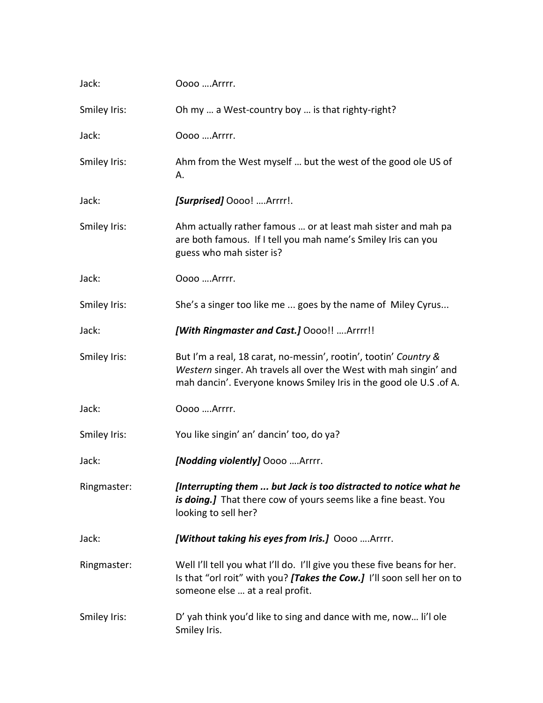| Jack:        | Oooo Arrrr.                                                                                                                                                                                                 |
|--------------|-------------------------------------------------------------------------------------------------------------------------------------------------------------------------------------------------------------|
| Smiley Iris: | Oh my  a West-country boy  is that righty-right?                                                                                                                                                            |
| Jack:        | Oooo  Arrrr.                                                                                                                                                                                                |
| Smiley Iris: | Ahm from the West myself  but the west of the good ole US of<br>А.                                                                                                                                          |
| Jack:        | [Surprised] Oooo! Arrrr!.                                                                                                                                                                                   |
| Smiley Iris: | Ahm actually rather famous  or at least mah sister and mah pa<br>are both famous. If I tell you mah name's Smiley Iris can you<br>guess who mah sister is?                                                  |
| Jack:        | 0000  Arrrr.                                                                                                                                                                                                |
| Smiley Iris: | She's a singer too like me  goes by the name of Miley Cyrus                                                                                                                                                 |
| Jack:        | [With Ringmaster and Cast.] Oooo!!  Arrrr!!                                                                                                                                                                 |
| Smiley Iris: | But I'm a real, 18 carat, no-messin', rootin', tootin' Country &<br>Western singer. Ah travels all over the West with mah singin' and<br>mah dancin'. Everyone knows Smiley Iris in the good ole U.S .of A. |
| Jack:        | 0000  Arrrr.                                                                                                                                                                                                |
| Smiley Iris: | You like singin' an' dancin' too, do ya?                                                                                                                                                                    |
| Jack:        | [Nodding violently] Oooo Arrrr.                                                                                                                                                                             |
| Ringmaster:  | [Interrupting them  but Jack is too distracted to notice what he<br>is doing.] That there cow of yours seems like a fine beast. You<br>looking to sell her?                                                 |
| Jack:        | [Without taking his eyes from Iris.] Oooo Arrrr.                                                                                                                                                            |
| Ringmaster:  | Well I'll tell you what I'll do. I'll give you these five beans for her.<br>Is that "orl roit" with you? [Takes the Cow.] I'll soon sell her on to<br>someone else  at a real profit.                       |
| Smiley Iris: | D' yah think you'd like to sing and dance with me, now li'l ole<br>Smiley Iris.                                                                                                                             |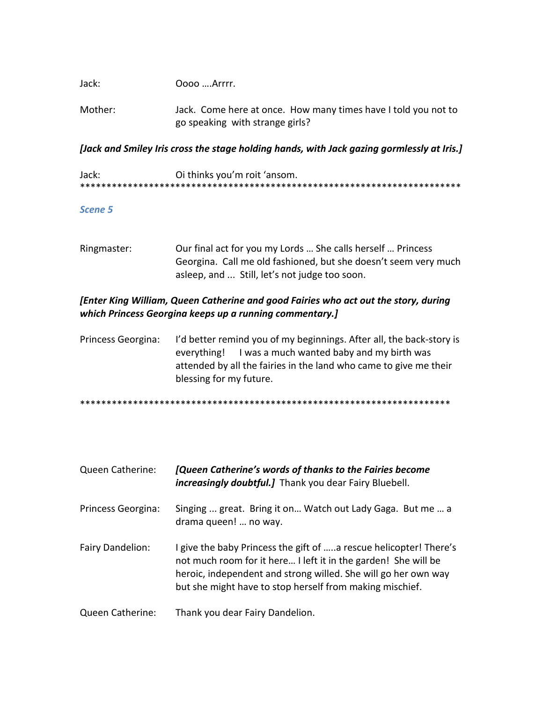| Jack:   | Oooo Arrrr.                                                    |
|---------|----------------------------------------------------------------|
| Mother: | Jack. Come here at once. How many times have I told you not to |

go speaking with strange girls?

*[Jack and Smiley Iris cross the stage holding hands, with Jack gazing gormlessly at Iris.]*

| Jack: | Oi thinks you'm roit 'ansom. |
|-------|------------------------------|
|       |                              |

## *Scene 5*

Ringmaster: Our final act for you my Lords … She calls herself … Princess Georgina. Call me old fashioned, but she doesn't seem very much asleep, and ... Still, let's not judge too soon.

## *[Enter King William, Queen Catherine and good Fairies who act out the story, during which Princess Georgina keeps up a running commentary.]*

Princess Georgina: I'd better remind you of my beginnings. After all, the back-story is everything! I was a much wanted baby and my birth was attended by all the fairies in the land who came to give me their blessing for my future.

\*\*\*\*\*\*\*\*\*\*\*\*\*\*\*\*\*\*\*\*\*\*\*\*\*\*\*\*\*\*\*\*\*\*\*\*\*\*\*\*\*\*\*\*\*\*\*\*\*\*\*\*\*\*\*\*\*\*\*\*\*\*\*\*\*\*\*\*\*\*

| Queen Catherine:   | [Queen Catherine's words of thanks to the Fairies become<br><i>increasingly doubtful.]</i> Thank you dear Fairy Bluebell.                                                                                                                                         |
|--------------------|-------------------------------------------------------------------------------------------------------------------------------------------------------------------------------------------------------------------------------------------------------------------|
| Princess Georgina: | Singing  great. Bring it on Watch out Lady Gaga. But me  a<br>drama queen!  no way.                                                                                                                                                                               |
| Fairy Dandelion:   | I give the baby Princess the gift of a rescue helicopter! There's<br>not much room for it here I left it in the garden! She will be<br>heroic, independent and strong willed. She will go her own way<br>but she might have to stop herself from making mischief. |
| Queen Catherine:   | Thank you dear Fairy Dandelion.                                                                                                                                                                                                                                   |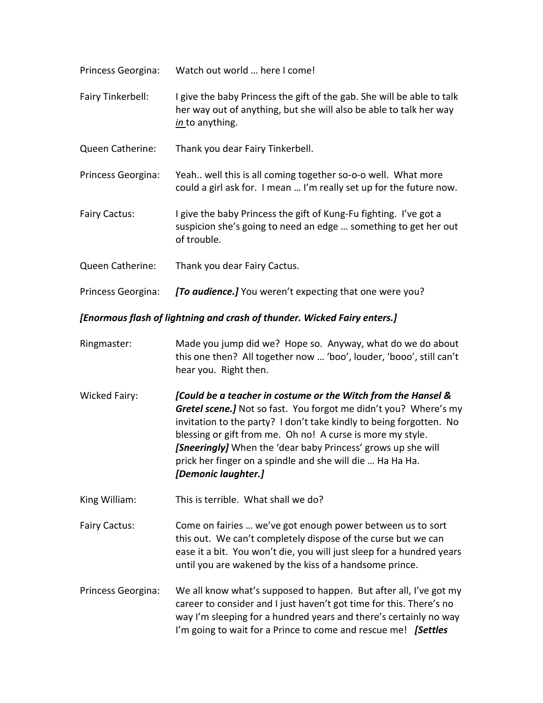| Princess Georgina: | Watch out world  here I come!                                                                                                                                   |
|--------------------|-----------------------------------------------------------------------------------------------------------------------------------------------------------------|
| Fairy Tinkerbell:  | I give the baby Princess the gift of the gab. She will be able to talk<br>her way out of anything, but she will also be able to talk her way<br>in to anything. |
| Queen Catherine:   | Thank you dear Fairy Tinkerbell.                                                                                                                                |
| Princess Georgina: | Yeah well this is all coming together so-o-o well. What more<br>could a girl ask for. I mean  I'm really set up for the future now.                             |
| Fairy Cactus:      | I give the baby Princess the gift of Kung-Fu fighting. I've got a<br>suspicion she's going to need an edge  something to get her out<br>of trouble.             |
| Queen Catherine:   | Thank you dear Fairy Cactus.                                                                                                                                    |

Princess Georgina: *[To audience.]* You weren't expecting that one were you?

*[Enormous flash of lightning and crash of thunder. Wicked Fairy enters.]*

- Ringmaster: Made you jump did we? Hope so. Anyway, what do we do about this one then? All together now … 'boo', louder, 'booo', still can't hear you. Right then.
- Wicked Fairy: *[Could be a teacher in costume or the Witch from the Hansel & Gretel scene.]* Not so fast. You forgot me didn't you? Where's my invitation to the party? I don't take kindly to being forgotten. No blessing or gift from me. Oh no! A curse is more my style. *[Sneeringly]* When the 'dear baby Princess' grows up she will prick her finger on a spindle and she will die … Ha Ha Ha. *[Demonic laughter.]*

King William: This is terrible. What shall we do?

Fairy Cactus: Come on fairies … we've got enough power between us to sort this out. We can't completely dispose of the curse but we can ease it a bit. You won't die, you will just sleep for a hundred years until you are wakened by the kiss of a handsome prince.

Princess Georgina: We all know what's supposed to happen. But after all, I've got my career to consider and I just haven't got time for this. There's no way I'm sleeping for a hundred years and there's certainly no way I'm going to wait for a Prince to come and rescue me! *[Settles*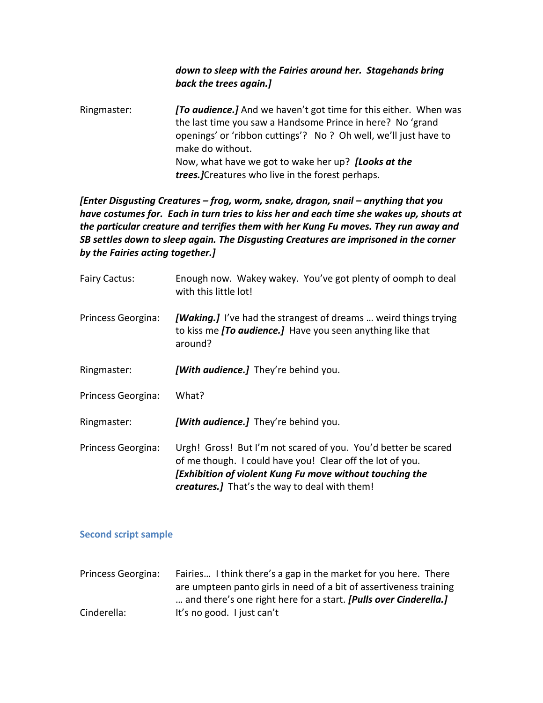## *down to sleep with the Fairies around her. Stagehands bring back the trees again.]*

Ringmaster: *[To audience.]* And we haven't got time for this either. When was the last time you saw a Handsome Prince in here? No 'grand openings' or 'ribbon cuttings'? No ? Oh well, we'll just have to make do without. Now, what have we got to wake her up? *[Looks at the trees.]*Creatures who live in the forest perhaps.

## *[Enter Disgusting Creatures - frog, worm, snake, dragon, snail - anything that you have costumes for. Each in turn tries to kiss her and each time she wakes up, shouts at the particular creature and terrifies them with her Kung Fu moves. They run away and SB settles down to sleep again. The Disgusting Creatures are imprisoned in the corner by the Fairies acting together.]*

| <b>Fairy Cactus:</b> | Enough now. Wakey wakey. You've got plenty of oomph to deal<br>with this little lot!                                                                                                                                                     |
|----------------------|------------------------------------------------------------------------------------------------------------------------------------------------------------------------------------------------------------------------------------------|
| Princess Georgina:   | [Waking.] I've had the strangest of dreams  weird things trying<br>to kiss me [To audience.] Have you seen anything like that<br>around?                                                                                                 |
| Ringmaster:          | [With <i>audience.</i> ] They're behind you.                                                                                                                                                                                             |
| Princess Georgina:   | What?                                                                                                                                                                                                                                    |
| Ringmaster:          | [With <i>audience.</i> ] They're behind you.                                                                                                                                                                                             |
| Princess Georgina:   | Urgh! Gross! But I'm not scared of you. You'd better be scared<br>of me though. I could have you! Clear off the lot of you.<br>[Exhibition of violent Kung Fu move without touching the<br>creatures.] That's the way to deal with them! |

## **Second script sample**

| Princess Georgina: | Fairies I think there's a gap in the market for you here. There         |
|--------------------|-------------------------------------------------------------------------|
|                    | are umpteen panto girls in need of a bit of assertiveness training      |
|                    | and there's one right here for a start. <b>[Pulls over Cinderella.]</b> |
| Cinderella:        | It's no good. I just can't                                              |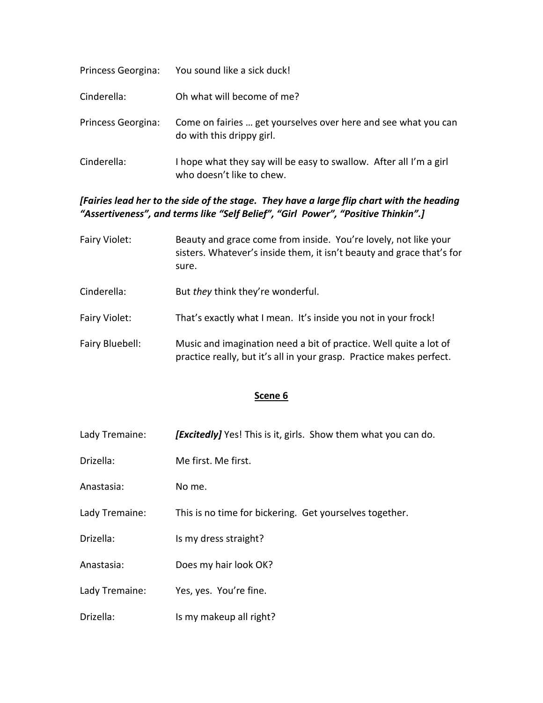| Princess Georgina: | You sound like a sick duck!                                                                     |
|--------------------|-------------------------------------------------------------------------------------------------|
| Cinderella:        | Oh what will become of me?                                                                      |
| Princess Georgina: | Come on fairies  get yourselves over here and see what you can<br>do with this drippy girl.     |
| Cinderella:        | I hope what they say will be easy to swallow. After all I'm a girl<br>who doesn't like to chew. |

## *[Fairies lead her to the side of the stage. They have a large flip chart with the heading "Assertiveness", and terms like "Self Belief", "Girl Power", "Positive Thinkin".]*

- Fairy Violet: Beauty and grace come from inside. You're lovely, not like your sisters. Whatever's inside them, it isn't beauty and grace that's for sure.
- Cinderella: But *they* think they're wonderful.
- Fairy Violet: That's exactly what I mean. It's inside you not in your frock!
- Fairy Bluebell: Music and imagination need a bit of practice. Well quite a lot of practice really, but it's all in your grasp. Practice makes perfect.

## **Scene 6**

- Lady Tremaine: *[Excitedly]* Yes! This is it, girls. Show them what you can do.
- Drizella: Me first. Me first.
- Anastasia: No me.
- Lady Tremaine: This is no time for bickering. Get yourselves together.
- Drizella: Is my dress straight?
- Anastasia: Does my hair look OK?
- Lady Tremaine: Yes, yes. You're fine.
- Drizella: Is my makeup all right?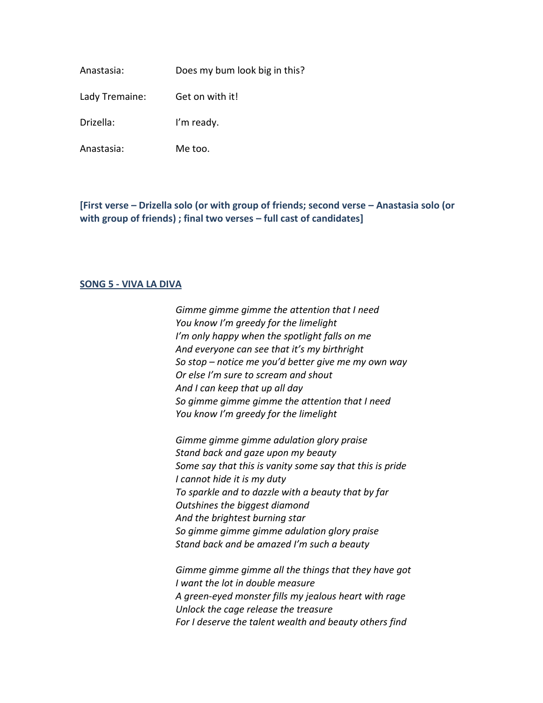Anastasia: Does my bum look big in this?

Lady Tremaine: Get on with it!

Drizella: I'm ready.

Anastasia: Me too.

**[First verse – Drizella solo (or with group of friends; second verse – Anastasia solo (or with group of friends) ; final two verses – full cast of candidates]**

### **SONG 5 - VIVA LA DIVA**

*Gimme gimme gimme the attention that I need You know I'm greedy for the limelight I'm only happy when the spotlight falls on me And everyone can see that it's my birthright So stop – notice me you'd better give me my own way Or else I'm sure to scream and shout And I can keep that up all day So gimme gimme gimme the attention that I need You know I'm greedy for the limelight*

*Gimme gimme gimme adulation glory praise Stand back and gaze upon my beauty Some say that this is vanity some say that this is pride I cannot hide it is my duty To sparkle and to dazzle with a beauty that by far Outshines the biggest diamond And the brightest burning star So gimme gimme gimme adulation glory praise Stand back and be amazed I'm such a beauty*

*Gimme gimme gimme all the things that they have got I want the lot in double measure A green-eyed monster fills my jealous heart with rage Unlock the cage release the treasure For I deserve the talent wealth and beauty others find*